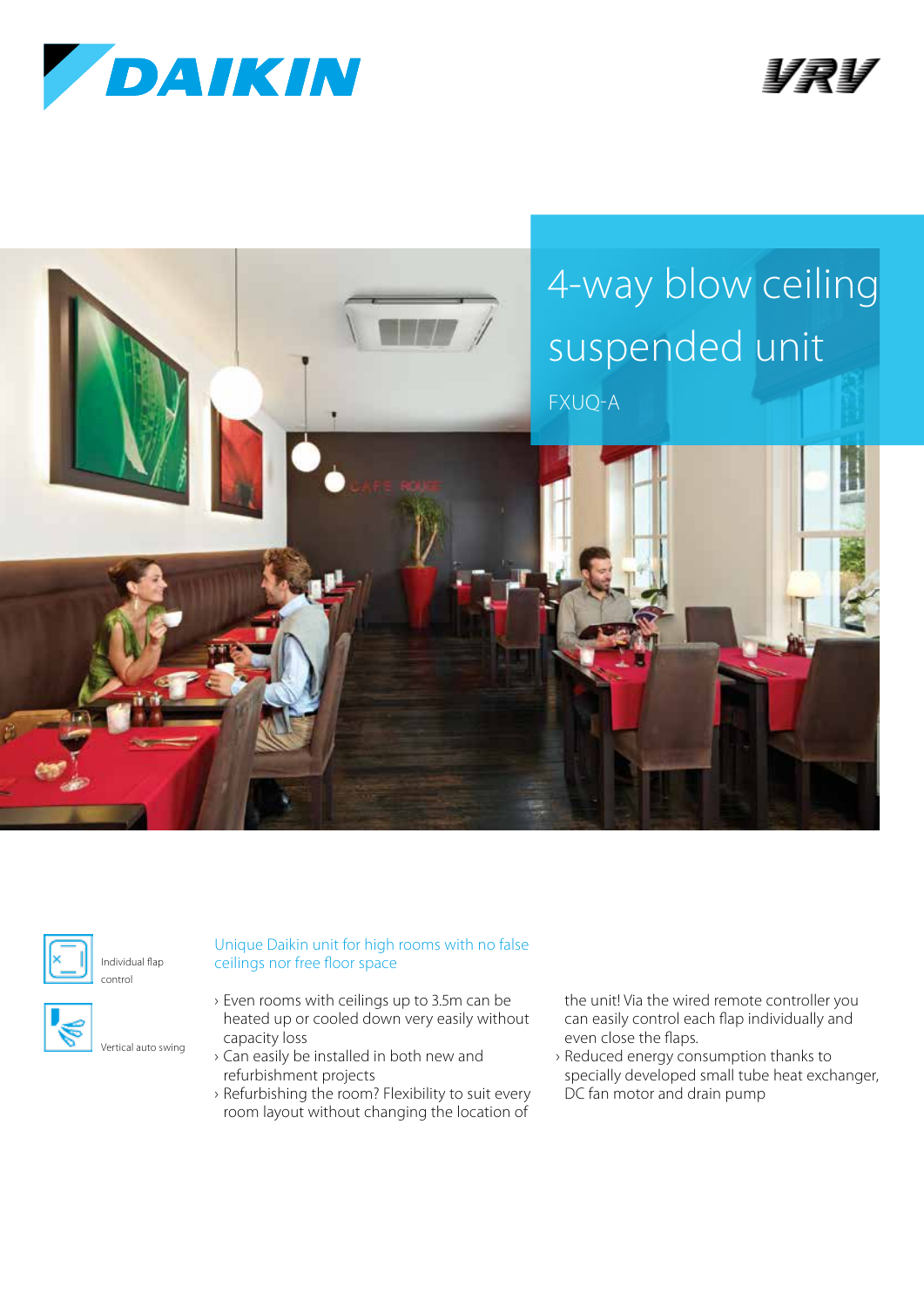







Individual flap control

Vertical auto swing



- › Even rooms with ceilings up to 3.5m can be heated up or cooled down very easily without capacity loss
	- › Can easily be installed in both new and refurbishment projects
	- › Refurbishing the room? Flexibility to suit every room layout without changing the location of

Unique Daikin unit for high rooms with no false

the unit! Via the wired remote controller you can easily control each flap individually and even close the flaps.

› Reduced energy consumption thanks to specially developed small tube heat exchanger, DC fan motor and drain pump